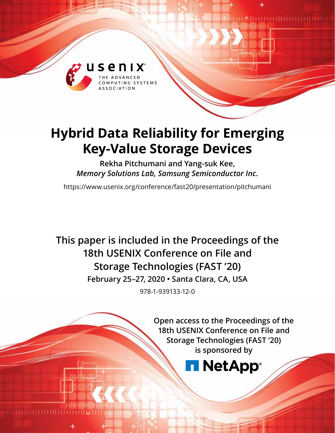

# **Hybrid Data Reliability for Emerging Key-Value Storage Devices**

**Rekha Pitchumani and Yang-suk Kee,**  *Memory Solutions Lab, Samsung Semiconductor Inc.*

https://www.usenix.org/conference/fast20/presentation/pitchumani

**This paper is included in the Proceedings of the 18th USENIX Conference on File and Storage Technologies (FAST '20) February 25–27, 2020 • Santa Clara, CA, USA** 978-1-939133-12-0

> **Open access to the Proceedings of the 18th USENIX Conference on File and Storage Technologies (FAST '20) is sponsored by**

# **NetApp**®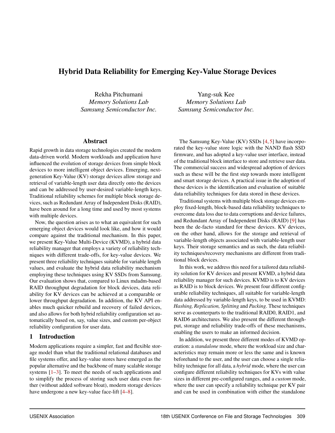# Hybrid Data Reliability for Emerging Key-Value Storage Devices

Rekha Pitchumani *Memory Solutions Lab Samsung Semiconductor Inc.*

Yang-suk Kee *Memory Solutions Lab Samsung Semiconductor Inc.*

#### Abstract

Rapid growth in data storage technologies created the modern data-driven world. Modern workloads and application have influenced the evolution of storage devices from simple block devices to more intelligent object devices. Emerging, nextgeneration Key-Value (KV) storage devices allow storage and retrieval of variable-length user data directly onto the devices and can be addressed by user-desired variable-length keys. Traditional reliability schemes for multiple block storage devices, such as Redundant Array of Independent Disks (RAID), have been around for a long time and used by most systems with multiple devices.

Now, the question arises as to what an equivalent for such emerging object devices would look like, and how it would compare against the traditional mechanism. In this paper, we present Key-Value Multi-Device (KVMD), a hybrid data reliability manager that employs a variety of reliability techniques with different trade-offs, for key-value devices. We present three reliability techniques suitable for variable length values, and evaluate the hybrid data reliability mechanism employing these techniques using KV SSDs from Samsung. Our evaluation shows that, compared to Linux mdadm-based RAID throughput degradation for block devices, data reliability for KV devices can be achieved at a comparable or lower throughput degradation. In addition, the KV API enables much quicker rebuild and recovery of failed devices, and also allows for both hybrid reliability configuration set automatically based on, say, value sizes, and custom per-object reliability configuration for user data.

## 1 Introduction

Modern applications require a simpler, fast and flexible storage model than what the traditional relational databases and file systems offer, and key-value stores have emerged as the popular alternative and the backbone of many scalable storage systems [\[1–](#page-13-0)[3\]](#page-13-1). To meet the needs of such applications and to simplify the process of storing such user data even further (without added software bloat), modern storage devices have undergone a new key-value face-lift [\[4–](#page-13-2)[8\]](#page-13-3).

The Samsung Key-Value (KV) SSDs [\[4,](#page-13-2) [5\]](#page-13-4) have incorporated the key-value store logic with the NAND flash SSD firmware, and has adopted a key-value user interface, instead of the traditional block interface to store and retrieve user data. The commercial success and widespread adoption of devices such as these will be the first step towards more intelligent and smart storage devices. A practical issue in the adoption of these devices is the identification and evaluation of suitable data reliability techniques for data stored in these devices.

Traditional systems with multiple block storage devices employ fixed-length, block-based data reliability techniques to overcome data loss due to data corruptions and device failures, and Redundant Array of Independent Disks (RAID) [\[9\]](#page-13-5) has been the de-facto standard for these devices. KV devices, on the other hand, allows for the storage and retrieval of variable-length objects associated with variable-length user keys. Their storage semantics and as such, the data reliability techniques/recovery mechanisms are different from traditional block devices.

In this work, we address this need for a tailored data reliability solution for KV devices and present KVMD, a hybrid data reliability manager for such devices. KVMD is to KV devices as RAID is to block devices. We present four different configurable reliability techniques, all suitable for variable-length data addressed by variable-length keys, to be used in KVMD: *Hashing, Replication, Splitting* and *Packing*. These techniques serve as counterparts to the traditional RAID0, RAID1, and RAID6 architectures. We also present the different throughput, storage and reliability trade-offs of these mechanisms, enabling the users to make an informed decision.

In addition, we present three different modes of KVMD operation: a *standalone* mode, where the workload size and characteristics may remain more or less the same and is known beforehand to the user, and the user can choose a single reliability technique for all data, a *hybrid* mode, where the user can configure different reliability techniques for KVs with value sizes in different pre-configured ranges, and a *custom* mode, where the user can specify a reliability technique per KV pair and can be used in combination with either the standalone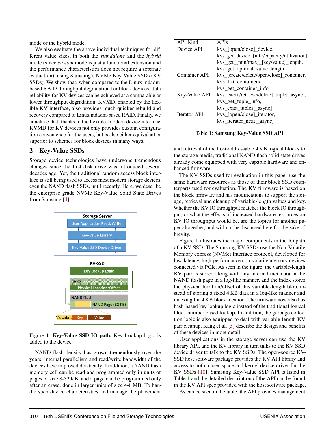mode or the hybrid mode.

We also evaluate the above individual techniques for different value sizes, in both the *standalone* and the *hybrid* mode (since *custom* mode is just a functional extension and the performance characteristics does not require a separate evaluation), using Samsung's NVMe Key-Value SSDs (KV SSDs). We show that, when compared to the Linux mdadmbased RAID throughput degradation for block devices, data reliability for KV devices can be achieved at a comparable or lower throughput degradation. KVMD, enabled by the flexible KV interface, also provides much quicker rebuild and recovery compared to Linux mdadm-based RAID. Finally, we conclude that, thanks to the flexible, modern device interface, KVMD for KV devices not only provides custom configuration convenience for the users, but is also either equivalent or superior to schemes for block devices in many ways.

### 2 Key-Value SSDs

Storage device technologies have undergone tremendous changes since the first disk drive was introduced several decades ago. Yet, the traditional random access block interface is still being used to access most modern storage devices, even the NAND flash SSDs, until recently. Here, we describe the enterprise grade NVMe Key-Value Solid State Drives from Samsung [\[4\]](#page-13-2).

<span id="page-2-0"></span>

Figure 1: Key-Value SSD IO path. Key Lookup logic is added to the device.

NAND flash density has grown tremendously over the years; internal parallelism and read/write bandwidth of the devices have improved drastically. In addition, a NAND flash memory cell can be read and programmed only in units of pages of size 8-32 KB, and a page can be programmed only after an erase, done in larger units of size 4-8 MB. To handle such device characteristics and manage the placement

<span id="page-2-1"></span>

| <b>API Kind</b> | APIs                                        |
|-----------------|---------------------------------------------|
| Device API      | kys [open/close] device,                    |
|                 | kvs_get_device_[info/capacity/utilization], |
|                 | kvs_get_[min/max]_[key/value]_length,       |
|                 | kvs_get_optimal_value_length                |
| Container API   | kvs_[create/delete/open/close]_container,   |
|                 | kvs_list_containers,                        |
|                 | kvs_get_container_info                      |
| Key-Value API   | kvs_[store/retrieve/delete]_tuple[_async],  |
|                 | kvs_get_tuple_info,                         |
|                 | kvs_exist_tuples[_async]                    |
| Iterator API    | kvs_[open/close]_iterator,                  |
|                 | kys iterator next asyncl                    |

Table 1: Samsung Key-Value SSD API

and retrieval of the host-addressable 4 KB logical blocks to the storage media, traditional NAND flash solid state drives already come equipped with very capable hardware and enhanced firmware.

The KV SSDs used for evaluation in this paper use the same hardware resources as those of their block SSD counterparts used for evaluation. The KV firmware is based on the block firmware and has modifications to support the storage, retrieval and cleanup of variable-length values and key. Whether the KV IO throughput matches the block IO throughput, or what the effects of increased hardware resources on KV IO throughput would be, are the topics for another paper altogether, and will not be discussed here for the sake of brevity.

Figure [1](#page-2-0) illustrates the major components in the IO path of a KV SSD. The Samsung KV-SSDs use the Non-Volatile Memory express (NVMe) interface protocol, developed for low-latency, high-performance non-volatile memory devices connected via PCIe. As seen in the figure, the variable-length KV pair is stored along with any internal metadata in the NAND flash page in a log-like manner, and the index stores the physical location/offset of this variable-length blob, instead of storing a fixed 4 KB data in a log-like manner and indexing the 4 KB block location. The firmware now also has hash-based key lookup logic instead of the traditional logical block number based lookup. In addition, the garbage collection logic is also equipped to deal with variable-length KV pair cleanup. Kang et al. [\[5\]](#page-13-4) describe the design and benefits of these devices in more detail.

User applications in the storage server can use the KV library API, and the KV library in turn talks to the KV SSD device driver to talk to the KV SSDs. The open-source KV-SSD host software package provides the KV API library and access to both a user-space and kernel device driver for the KV SSDs [\[10\]](#page-13-6). Samsung Key-Value SSD API is listed in Table [1](#page-2-1) and the detailed description of the API can be found in the KV API spec provided with the host software package.

As can be seen in the table, the API provides management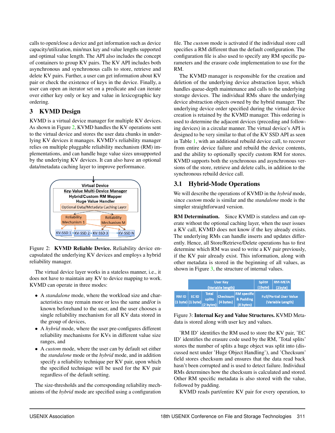calls to open/close a device and get information such as device capacity/utilization, min/max key and value lengths supported and optimal value length. The API also includes the concept of containers to group KV pairs. The KV API includes both asynchronous and synchronous calls to store, retrieve and delete KV pairs. Further, a user can get information about KV pair or check the existence of keys in the device. Finally, a user can open an iterator set on a predicate and can iterate over either key only or key and value in lexicographic key ordering.

# 3 KVMD Design

KVMD is a virtual device manager for multiple KV devices. As shown in Figure [2,](#page-3-0) KVMD handles the KV operations sent to the virtual device and stores the user data chunks in underlying KV devices it manages. KVMD's reliability manager relies on multiple pluggable reliability mechanism (RM) implementations, and can handle huge value sizes unsupported by the underlying KV devices. It can also have an optional data/metadata caching layer to improve performance.

<span id="page-3-0"></span>

Figure 2: KVMD Reliable Device. Reliability device encapsulated the underlying KV devices and employs a hybrid reliability manager.

The virtual device layer works in a stateless manner, i.e., it does not have to maintain any KV to device mapping to work. KVMD can operate in three modes:

- A *standalone* mode, where the workload size and characteristics may remain more or less the same and/or is known beforehand to the user, and the user chooses a single reliability mechanism for all KV data stored in the group of devices,
- A *hybrid* mode, where the user pre-configures different reliability mechanisms for KVs in different value size ranges, and
- A *custom* mode, where the user can by default set either the *standalone* mode or the *hybrid* mode, and in addition specify a reliability technique per KV pair, upon which the specified technique will be used for the KV pair regardless of the default setting.

The size-thresholds and the corresponding reliability mechanisms of the *hybrid* mode are specified using a configuration

file. The *custom* mode is activated if the individual store call specifies a RM different than the default configuration. The configuration file is also used to specify any RM specific parameters and the erasure code implementation to use for the RM.

The KVMD manager is responsible for the creation and deletion of the underlying device abstraction layer, which handles queue-depth maintenance and calls to the underlying storage devices. The individual RMs share the underlying device abstraction objects owned by the hybrid manager. The underlying device order specified during the virtual device creation is retained by the KVMD manager. This ordering is used to determine the adjacent devices (preceding and following devices) in a circular manner. The virtual device's API is designed to be very similar to that of the KV SSD API as seen in Table [1,](#page-2-1) with an additional rebuild device call, to recover from entire device failure and rebuild the device contents, and the ability to optionally specify custom RM for stores. KVMD supports both the synchronous and asynchronous versions of the store, retrieve and delete calls, in addition to the synchronous rebuild device call.

# 3.1 Hybrid-Mode Operations

We will describe the operations of KVMD in the *hybrid* mode, since *custom* mode is similar and the *standalone* mode is the simpler straightforward version.

RM Determination. Since KVMD is stateless and can operate without the optional caching layer, when the user issues a KV call, KVMD does not know if the key already exists. The underlying RMs can handle inserts and updates differently. Hence, all Store/Retrieve/Delete operations has to first determine which RM was used to write a KV pair previously, if the KV pair already exist. This information, along with other metadata is stored in the beginning of all values, as shown in Figure [3,](#page-3-1) the structure of internal values.

<span id="page-3-1"></span>

|                                            |                              | <b>User Key</b><br>(Variable length)                   | Split#<br>$(1$ byte $)$                    | <b>RM-META</b><br>$(1$ byte $)$                     |
|--------------------------------------------|------------------------------|--------------------------------------------------------|--------------------------------------------|-----------------------------------------------------|
| <b>RMID</b><br>$(1 \text{ byte})$ (1 byte) | EC ID<br>$(2 \text{ bytes})$ | <b>Total</b><br><b>Checksum</b><br>splits<br>(4 bytes) | <b>RM</b> specific<br><b>&amp; Padding</b> | <b>Full/Partial User Value</b><br>(Variable Length) |

Figure 3: Internal Key and Value Structures. KVMD Metadata is stored along with user key and values.

'RM ID' identifies the RM used to store the KV pair, 'EC ID' identifies the erasure code used by the RM, 'Total splits' stores the number of splits a huge object was split into (discussed next under 'Huge Object Handling'), and 'Checksum' field stores checksum and ensures that the data read back hasn't been corrupted and is used to detect failure. Individual RMs determines how the checksum is calculated and stored. Other RM specific metadata is also stored with the value, followed by padding.

KVMD reads part/entire KV pair for every operation, to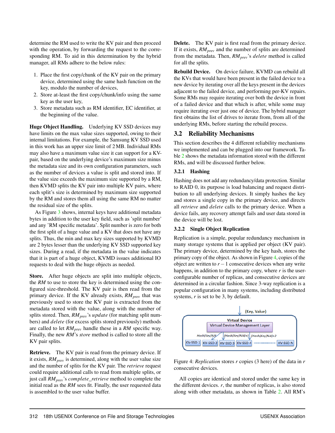determine the RM used to write the KV pair and then proceed with the operation, by forwarding the request to the corresponding RM. To aid in this determination by the hybrid manager, all RMs adhere to the below rules:

- 1. Place the first copy/chunk of the KV pair on the primary device, determined using the same hash function on the key, modulo the number of devices,
- 2. Store at-least the first copy/chunk/info using the same key as the user key,
- 3. Store metadata such as RM identifier, EC identifier, at the beginning of the value.

Huge Object Handling. Underlying KV SSD devices may have limits on the max value sizes supported, owing to their internal limitations. For example, the Samsung KV SSD used in this work has an upper size limit of 2 MB. Individual RMs may also have a maximum value size it can support for a KVpair, based on the underlying device's maximum size minus the metadata size and its own configuration parameters, such as the number of devices a value is split and stored into. If the value size exceeds the maximum size supported by a RM, then KVMD splits the KV pair into multiple KV pairs, where each split's size is determined by maximum size supported by the RM and stores them all using the same RM no matter the residual size of the splits.

As Figure [3](#page-3-1) shows, internal keys have additional metadata bytes in addition to the user key field, such as 'split number' and any 'RM specific metadata'. Split number is zero for both the first split of a huge value and a KV that does not have any splits. Thus, the min and max key sizes supported by KVMD are 2 bytes lesser than the underlying KV SSD supported key sizes. During a read, if the metadata in the value indicates that it is part of a huge object, KVMD issues additional IO requests to deal with the huge objects as needed.

Store. After huge objects are split into multiple objects, the *RM* to use to store the key is determined using the configured size-threshold. The KV pair is then read from the primary device. If the KV already exists, *RMprev* that was previously used to store the KV pair is extracted from the metadata stored with the value, along with the number of splits stored. Then, *RMprev*'s *update* (for matching split numbers) and *delete* (for excess splits stored previously) methods are called to let *RMprev* handle these in a *RM* specific way. Finally, the new *RM*'s *store* method is called to store all the KV pair splits.

Retrieve. The KV pair is read from the primary device. If it exists, *RMprev* is determined, along with the user value size and the number of splits for the KV pair. The *retrieve* request could require additional calls to read from multiple splits, or just call *RMprev*'s *complete*\_*retrieve* method to complete the initial read as the *RM* sees fit. Finally, the user requested data is assembled to the user value buffer.

Delete. The KV pair is first read from the primary device. If it exists, *RMprev* and the number of splits are determined from the metadata. Then, *RMprev*'s *delete* method is called for all the splits.

Rebuild Device. On device failure, KVMD can rebuild all the KVs that would have been present in the failed device to a new device by iterating over all the keys present in the devices adjacent to the failed device, and performing per-KV repairs. Some RMs may require iterating over both the device in front of a failed device and that which is after, while some may require iterating over just one of device. The hybrid manager first obtains the list of drives to iterate from, from all of the underlying RMs, before starting the rebuild process.

# 3.2 Reliability Mechanisms

This section describes the 4 different reliability mechanisms we implemented and can be plugged into our framework. Table [2](#page-5-0) shows the metadata information stored with the different RMs, and will be discussed further below.

### 3.2.1 Hashing

Hashing does not add any redundancy/data protection. Similar to RAID 0, its purpose is load balancing and request distribution to all underlying devices. It simply hashes the key and stores a single copy in the primary device, and directs all *retrieve* and *delete* calls to the primary device. When a device fails, any recovery attempt fails and user data stored in the device will be lost.

#### 3.2.2 Single Object Replication

Replication is a simple, popular redundancy mechanism in many storage systems that is applied per object (KV pair). The primary device, determined by the key hash, stores the primary copy of the object. As shown in Figure [4,](#page-4-0) copies of the object are written to *r*−1 consecutive devices when any write happens, in addition to the primary copy, where  $r$  is the userconfigurable number of replicas, and consecutive devices are determined in a circular fashion. Since 3-way replication is a popular configuration in many systems, including distributed systems, *r* is set to be 3, by default.

<span id="page-4-0"></span>

Figure 4: *Replication* stores *r* copies (3 here) of the data in *r* consecutive devices.

All copies are identical and stored under the same key in the different devices.  $r$ , the number of replicas, is also stored along with other metadata, as shown in Table [2.](#page-5-0) All RM's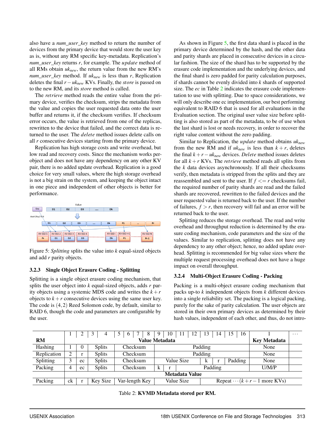also have a *num*\_*user*\_*key* method to return the number of devices from the primary device that would store the user key as is, without any RM specific key-metadata. Replication's *num*\_*user*\_*key* returns *r*, for example. The *update* method of all RMs obtain *uknew*, the return value from the new RM's *num*\_*user*\_*key* method. If *uknew* is less than *r*, Replication deletes the final *r*−*uknew* KVs. Finally, the *store* is passed on to the new RM, and its *store* method is called.

The *retrieve* method reads the entire value from the primary device, verifies the checksum, strips the metadata from the value and copies the user requested data onto the user buffer and returns it, if the checksum verifies. If checksum error occurs, the value is retrieved from one of the replicas, rewritten to the device that failed, and the correct data is returned to the user. The *delete* method issues delete calls on all *r* consecutive devices starting from the primary device.

Replication has high storage costs and write overhead, but low read and recovery costs. Since the mechanism works perobject and does not have any dependency on any other KV pair, there is no added update overhead. Replication is a good choice for very small values, where the high storage overhead is not a big strain on the system, and keeping the object intact in one piece and independent of other objects is better for performance.

<span id="page-5-1"></span>

Figure 5: *Splitting* splits the value into *k* equal-sized objects and add *r* parity objects.

#### 3.2.3 Single Object Erasure Coding - Splitting

Splitting is a single object erasure coding mechanism, that splits the user object into *k* equal-sized objects, adds *r* parity objects using a systemic MDS code and writes the  $k+r$ objects to  $k+r$  consecutive devices using the same user key. The code is (4,2) Reed Solomon code, by default, similar to RAID 6, though the code and parameters are configurable by the user.

As shown in Figure [5,](#page-5-1) the first data shard is placed in the primary device determined by the hash, and the other data and parity shards are placed in consecutive devices in a circular fashion. The size of the shard has to be supported by the erasure code implementation and the underlying devices, and the final shard is zero padded for parity calculation purposes, if shards cannot be evenly divided into *k* shards of supported size. The *ec* in Table [2](#page-5-0) indicates the erasure code implementation to use with splitting. Due to space considerations, we will only describe one ec implementation, our best performing equivalent to RAID 6 that is used for all evaluations in the Evaluation section. The original user value size before splitting is also stored as part of the metadata, to be of use when the last shard is lost or needs recovery, in order to recover the right value content without the zero padding.

Similar to Replication, the *update* method obtains *uknew* from the new RM and if  $uk_{new}$  is less than  $k + r$ , deletes the final  $k + r - uk_{new}$  devices. *Delete* method issues deletes for all  $k + r$  KVs. The *retrieve* method reads all splits from the *k* data devices asynchronously. If all their checksums verify, then metadata is stripped from the splits and they are reassembled and sent to the user. If  $f \leq r$  checksums fail, the required number of parity shards are read and the failed shards are recovered, rewritten to the failed devices and the user requested value is returned back to the user. If the number of failures,  $f > r$ , then recovery will fail and an error will be returned back to the user.

Splitting reduces the storage overhead. The read and write overhead and throughput reduction is determined by the erasure coding mechanism, code parameters and the size of the values. Similar to replication, splitting does not have any dependency to any other object; hence, no added update overhead. Splitting is recommended for big value sizes where the multiple request processing overhead does not have a huge impact on overall throughput.

#### 3.2.4 Multi-Object Erasure Coding - Packing

Packing is a multi-object erasure coding mechanism that packs up-to *k* independent objects from *k* different devices into a single reliability set. The packing is a logical packing, purely for the sake of parity calculation. The user objects are stored in their own primary devices as determined by their hash values, independent of each other, and thus, do not intro-

<span id="page-5-0"></span>

|                       |                                       |    |               | 5 <sup>5</sup><br>-8<br>6 |                               | 10 | -11 | 12 | -13                              | 14      | 15   | 16   |  | $\cdots$ |
|-----------------------|---------------------------------------|----|---------------|---------------------------|-------------------------------|----|-----|----|----------------------------------|---------|------|------|--|----------|
| <b>RM</b>             | Value Metadata<br><b>Key Metadata</b> |    |               |                           |                               |    |     |    |                                  |         |      |      |  |          |
| Hashing               |                                       | 0  | <b>Splits</b> | Checksum                  | Padding                       |    |     |    |                                  | None    |      |      |  |          |
| Replication           | ◠                                     |    | <b>Splits</b> | Checksum                  | Padding                       |    |     |    |                                  |         | None |      |  |          |
| Splitting             | 3                                     | ec | <b>Splits</b> | Checksum                  | Value Size                    |    |     | k  |                                  | Padding |      | None |  |          |
| Packing               | 4                                     | ec | <b>Splits</b> | Checksum                  | Padding<br>$\mathbf{r}$<br>n. |    |     |    | U/M/P                            |         |      |      |  |          |
| <b>Metadata Value</b> |                                       |    |               |                           |                               |    |     |    |                                  |         |      |      |  |          |
| Packing               | ck                                    |    | Key Size      | Var-length Key            | Value Size                    |    |     |    | Repeat $\cdots (k+r-1$ more KVs) |         |      |      |  |          |

Table 2: KVMD Metadata stored per RM.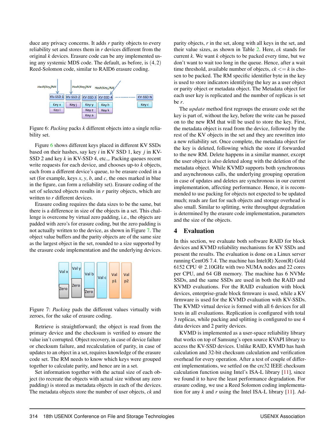duce any privacy concerns. It adds *r* parity objects to every reliability set and stores them in *r* devices different from the original *k* devices. Erasure code can be any implemented using any systemic MDS code. The default, as before, is (4,2) Reed-Solomon code, similar to RAID6 erasure coding.

<span id="page-6-0"></span>

Figure 6: *Packing* packs *k* different objects into a single reliability set.

Figure [6](#page-6-0) shows different keys placed in different KV SSDs based on their hashes, say key *i* in KV SSD 1, key *j* in KV-SSD 2 and key *k* in KV-SSD 4, etc.,. Packing queues recent write requests for each device, and chooses up-to *k* objects, each from a different device's queue, to be erasure coded in a set (for example, keys *x*, *y*, *b*, and *c*, the ones marked in blue in the figure, can form a reliability set). Erasure coding of the set of selected objects results in *r* parity objects, which are written to *r* different devices.

Erasure coding requires the data sizes to be the same, but there is a difference in size of the objects in a set. This challenge is overcome by virtual zero padding, i.e., the objects are padded with zero's for erasure coding, but the zero padding is not actually written to the device, as shown in Figure [7.](#page-6-1) The object value buffers and the parity objects are of the same size as the largest object in the set, rounded to a size supported by the erasure code implementation and the underlying devices.

<span id="page-6-1"></span>

Figure 7: *Packing* pads the different values virtually with zeroes, for the sake of erasure coding.

Retrieve is straightforward; the object is read from the primary device and the checksum is verified to ensure the value isn't corrupted. Object recovery, in case of device failure or checksum failure, and recalculation of parity, in case of updates to an object in a set, requires knowledge of the erasure code set. The RM needs to know which keys were grouped together to calculate parity, and hence are in a set.

Set information together with the actual size of each object (to recreate the objects with actual size without any zero padding) is stored as metadata objects in each of the devices. The metadata objects store the number of user objects, *ck* and

parity objects, *r* in the set, along with all keys in the set, and their value sizes, as shown in Table [2.](#page-5-0) Here, *ck* stands for current *k*. We want *k* objects to be packed every time, but we don't want to wait too long in the queue. Hence, after a wait time threshold, available number of objects,  $ck \leq k$  is chosen to be packed. The RM specific identifier byte in the key is used to store indicators identifying the key as a user object or parity object or metadata object. The Metadata object for each user key is replicated and the number of replicas is set be *r*.

The *update* method first regroups the erasure code set the key is part of, without the key, before the write can be passed on to the new RM that will be used to store the key. First, the metadata object is read from the device, followed by the rest of the KV objects in the set and they are rewritten into a new reliability set. Once complete, the metadata object for the key is deleted, following which the store if forwarded to the new RM. Delete happens in a similar manner, except the user object is also deleted along with the deletion of the metadata object. While KVMD supports both synchronous and asynchronous calls, the underlying grouping operation in case of updates and deletes are synchronous in our current implementation, affecting performance. Hence, it is recommended to use packing for objects not expected to be updated much; reads are fast for such objects and storage overhead is also small. Similar to splitting, write throughput degradation is determined by the erasure code implementation, parameters and the size of the objects.

## 4 Evaluation

In this section, we evaluate both software RAID for block devices and KVMD reliability mechanisms for KV SSDs and present the results. The evaluation is done on a Linux server running CentOS 7.4. The machine has Intel(R) Xeon(R) Gold 6152 CPU @ 2.10GHz with two NUMA nodes and 22 cores per CPU, and 64 GB memory. The machine has 6 NVMe SSDs, and the same SSDs are used in both the RAID and KVMD evaluations. For the RAID evaluation with block devices, enterprise-grade block firmware is used, while a KV firmware is used for the KVMD evaluation with KV-SSDs. The KVMD virtual device is formed with all 6 devices for all tests in all evaluations. Replication is configured with total 3 replicas, while packing and splitting is configured to use 4 data devices and 2 parity devices.

KVMD is implemented as a user-space reliability library that works on top of Samsung's open source KVAPI library to access the KV-SSD devices. Unlike RAID, KVMD has hash calculation and 32-bit checksum calculation and verification overhead for every operation. After a test of couple of different implementations, we settled on the crc32 IEEE checksum calculation function using Intel's ISA-L library [\[11\]](#page-13-7), since we found it to have the least performance degradation. For erasure coding, we use a Reed Solomon coding implementation for any  $k$  and  $r$  using the Intel ISA-L library  $[11]$ . Ad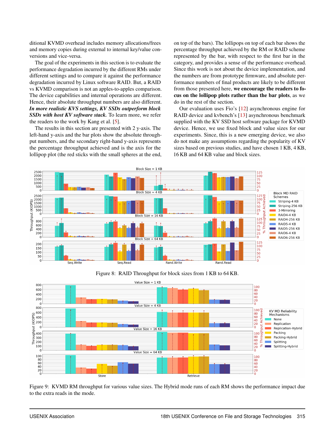ditional KVMD overhead includes memory allocations/frees and memory copies during external to internal key/value conversions and vice-versa.

The goal of the experiments in this section is to evaluate the performance degradation incurred by the different RMs under different settings and to compare it against the performance degradation incurred by Linux software RAID. But, a RAID vs KVMD comparison is not an apples-to-apples comparison. The device capabilities and internal operations are different. Hence, their absolute throughput numbers are also different. *In more realistic KVS settings, KV SSDs outperform block SSDs with host KV software stack.* To learn more, we refer the readers to the work by Kang et al. [\[5\]](#page-13-4).

The results in this section are presented with 2 y-axis. The left-hand y-axis and the bar plots show the absolute throughput numbers, and the secondary right-hand y-axis represents the percentage throughput achieved and is the axis for the lollipop plot (the red sticks with the small spheres at the end, on top of the bars). The lollipops on top of each bar shows the percentage throughput achieved by the RM or RAID scheme represented by the bar, with respect to the first bar in the category, and provides a sense of the performance overhead. Since this work is not about the device implementation, and the numbers are from prototype firmware, and absolute performance numbers of final products are likely to be different from those presented here, we encourage the readers to focus on the lollipop plots rather than the bar plots, as we do in the rest of the section.

Our evaluation uses Fio's [\[12\]](#page-13-8) asynchronous engine for RAID device and kvbench's [\[13\]](#page-13-9) asynchronous benchmark supplied with the KV SSD host software package for KVMD device. Hence, we use fixed block and value sizes for our experiments. Since, this is a new emerging device, we also do not make any assumptions regarding the popularity of KV sizes based on previous studies, and have chosen 1 KB, 4 KB, 16 KB and 64 KB value and block sizes.

<span id="page-7-0"></span>



<span id="page-7-1"></span>

Figure 9: KVMD RM throughput for various value sizes. The Hybrid mode runs of each RM shows the performance impact due to the extra reads in the mode.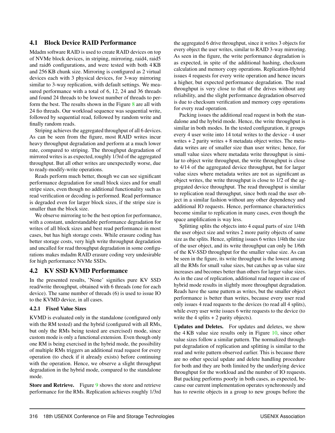## 4.1 Block Device RAID Performance

Mdadm software RAID is used to create RAID devices on top of NVMe block devices, in striping, mirroring, raid4, raid5 and raid6 configurations, and were tested with both 4 KB and 256 KB chunk size. Mirroring is configured as 2 virtual devices each with 3 physical devices, for 3-way mirroring similar to 3-way replication, with default settings. We measured performance with a total of 6, 12, 24 and 36 threads and found 24 threads to be lowest number of threads to perform the best. The results shown in the Figure  $8$  are all with 24 fio threads. Our workload sequence was sequential write, followed by sequential read, followed by random write and finally random reads.

Striping achieves the aggregated throughput of all 6 devices. As can be seen from the figure, most RAID writes incur heavy throughput degradation and perform at a much lower rate, compared to striping. The throughput degradation of mirrored writes is as expected, roughly 1/3rd of the aggregated throughput. But all other writes are unexpectedly worse, due to ready-modify-write operations.

Reads perform much better, though we can see significant performance degradation for small block sizes and for small stripe sizes, even though no additional functionality such as read verification or decoding is performed. Read performance is degraded even for larger block sizes, if the stripe size is smaller than the block size.

We observe mirroring to be the best option for performance, with a constant, understandable performance degradation for writes of all block sizes and best read performance in most cases, but has high storage costs. While erasure coding has better storage costs, very high write throughput degradation and uncalled for read throughput degradation in some configurations makes mdadm RAID erasure coding very undesirable for high performance NVMe SSDs.

# 4.2 KV SSD KVMD Performance

In the presented results, 'None' signifies pure KV SSD read/write throughput, obtained with 6 threads (one for each device). The same number of threads (6) is used to issue IO to the KVMD device, in all cases.

#### 4.2.1 Fixed Value Sizes

KVMD is evaluated only in the standalone (configured only with the RM tested) and the hybrid (configured with all RMs, but only the RMs being tested are exercised) mode, since custom mode is only a functional extension. Even though only one RM is being exercised in the hybrid mode, the possibility of multiple RMs triggers an additional read request for every operation (to check if it already exists) before continuing with the operation. Hence, we observe a slight throughput degradation in the hybrid mode, compared to the standalone mode.

Store and Retrieve. Figure [9](#page-7-1) shows the store and retrieve performance for the RMs. Replication achieves roughly 1/3rd

the aggregated 6 drive throughput, since it writes 3 objects for every object the user writes, similar to RAID 3-way mirroring. As seen in the figure, the write performance degradation is as expected, in spite of the additional hashing, checksum calculation and memory copy operations. Replication-Hybrid issues 4 requests for every write operation and hence incurs a higher, but expected performance degradation. The read throughput is very close to that of the drives without any reliability, and the slight performance degradation observed is due to checksum verification and memory copy operations for every read operation.

Packing issues the additional read request in both the standalone and the hybrid mode. Hence, the write throughput is similar in both modes. In the tested configuration, it groups every 4 user write into 14 total writes to the device - 4 user writes  $+ 2$  parity writes  $+ 8$  metadata object writes. The metadata writes are of smaller size than user writes; hence, for small value sizes where metadata write throughput is similar to object write throughput, the write throughput is close to 4/14 of the aggregated device throughput, but for larger value sizes where metadata writes are not as significant as object writes, the write throughput is close to 1/2 of the aggregated device throughput. The read throughput is similar to replication read throughput, since both read the user object in a similar fashion without any other dependency and additional IO requests. Hence, performance characteristics become similar to replication in many cases, even though the space amplification is way less.

Splitting splits the objects into 4 equal parts of size 1/4th the user object size and writes 2 more parity objects of same size as the splits. Hence, splitting issues 6 writes 1/4th the size of the user object, and its write throughput can only be 1/6th of the KV-SSD throughput for the smaller value size. As can be seen in the figure, its write throughput is the lowest among all the RMs for small value sizes, but catches up as value size increases and becomes better than others for larger value sizes. As in the case of replication, additional read request in case of hybrid mode results in slightly more throughput degradation. Reads have the same pattern as writes, but the smaller object performance is better than writes, because every user read only issues 4 read requests to the devices (to read all 4 splits), while every user write issues 6 write requests to the device (to write the 4 splits  $+ 2$  parity objects).

Updates and Deletes. For updates and deletes, we show the 4 KB value size results only in Figure [10,](#page-9-0) since other value sizes follow a similar pattern. The normalized throughput degradation of replication and splitting is similar to the read and write pattern observed earlier. This is because there are no other special update and delete handling procedure for both and they are both limited by the underlying device throughput for the workload and the number of IO requests. But packing performs poorly in both cases, as expected, because our current implementation operates synchronously and has to rewrite objects in a group to new groups before the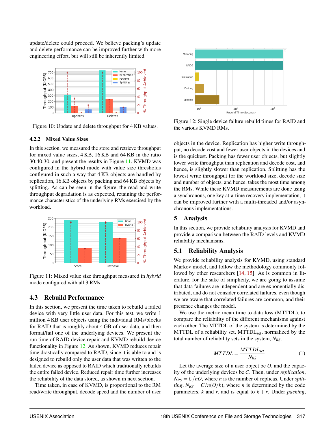update/delete could proceed. We believe packing's update and delete performance can be improved further with more engineering effort, but will still be inherently limited.

<span id="page-9-0"></span>

Figure 10: Update and delete throughput for 4 KB values.

#### 4.2.2 Mixed Value Sizes

In this section, we measured the store and retrieve throughput for mixed value sizes, 4 KB, 16 KB and 64 KB in the ratio 30:40:30, and present the results in Figure [11.](#page-9-1) KVMD was configured in the hybrid mode with value size thresholds configured in such a way that 4 KB objects are handled by replication, 16 KB objects by packing and 64 KB objects by splitting. As can be seen in the figure, the read and write throughput degradation is as expected, retaining the performance characteristics of the underlying RMs exercised by the workload.

<span id="page-9-1"></span>

Figure 11: Mixed value size throughput measured in *hybrid* mode configured with all 3 RMs.

## 4.3 Rebuild Performance

In this section, we present the time taken to rebuild a failed device with very little user data. For this test, we write 1 million 4 KB user objects using the individual RMs/blocks for RAID that is roughly about 4 GB of user data, and then format/fail one of the underlying devices. We present the run time of RAID device repair and KVMD rebuild device functionality in Figure [12.](#page-9-2) As shown, KVMD reduces repair time drastically compared to RAID, since it is able to and is designed to rebuild only the user data that was written to the failed device as opposed to RAID which traditionally rebuilds the entire failed device. Reduced repair time further increases the reliability of the data stored, as shown in next section.

Time taken, in case of KVMD, is proportional to the RM read/write throughput, decode speed and the number of user

<span id="page-9-2"></span>

Figure 12: Single device failure rebuild times for RAID and the various KVMD RMs.

objects in the device. Replication has higher write throughput, no decode cost and fewer user objects in the devices and is the quickest. Packing has fewer user objects, but slightly lower write throughput than replication and decode cost, and hence, is slightly slower than replication. Splitting has the lowest write throughput for the workload size, decode size and number of objects, and hence, takes the most time among the RMs. While these KVMD measurements are done using a synchronous, one key at-a-time recovery implementation, it can be improved further with a multi-threaded and/or asynchronous implementations.

# 5 Analysis

In this section, we provide reliability analysis for KVMD and provide a comparison between the RAID levels and KVMD reliability mechanisms.

# 5.1 Reliability Analysis

We provide reliability analysis for KVMD, using standard Markov model, and follow the methodology commonly fol-lowed by other researchers [\[14,](#page-13-10) [15\]](#page-13-11). As is common in literature, for the sake of simplicity, we are going to assume that data failures are independent and are exponentially distributed, and do not consider correlated failures, even though we are aware that correlated failures are common, and their presence changes the model.

We use the metric mean time to data loss (MTTDL), to compare the reliability of the different mechanisms against each other. The MTTDL of the system is determined by the MTTDL of a reliability set, MTTDL<sub>set</sub>, normalized by the total number of reliability sets in the system, *NRS*.

$$
MTTDL = \frac{MTTDL_{set}}{N_{RS}}\tag{1}
$$

Let the average size of a user object be *O*, and the capacity of the underlying devices be *C*. Then, under *replication*,  $N_{RS} = C/nO$ , where *n* is the number of replicas. Under *splitting*,  $N_{RS} = C/n(O/k)$ , where *n* is determined by the code parameters, *k* and *r*, and is equal to  $k + r$ . Under *packing*,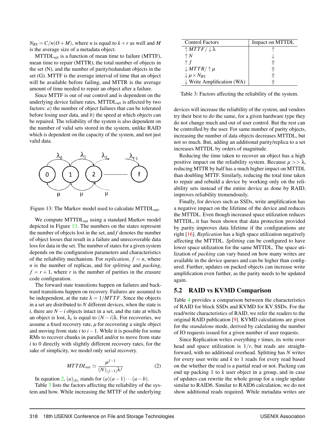$N_{RS} = C/n(O+M)$ , where *n* is equal to  $k+r$  as well and *M* is the average size of a metadata object.

MTTDL<sub>set</sub> is a function of mean time to failure (MTTF), mean time to repair (MTTR), the total number of objects in the set (N), and the number of parity/redundant objects in the set (G). MTTF is the average interval of time that an object will be available before failing, and MTTR is the average amount of time needed to repair an object after a failure.

Since MTTF is out of our control and is dependent on the underlying device failure rates, MTTDL<sub>set</sub> is affected by two factors: *a*) the number of object failures that can be tolerated before losing user data, and *b*) the speed at which objects can be repaired. The reliability of the system is also dependent on the number of valid sets stored in the system, unlike RAID which is dependent on the capacity of the system, and not just valid data.

<span id="page-10-0"></span>

Figure 13: The Markov model used to calculate MTTDL<sub>set</sub>.

We compute MTTDL<sub>set</sub> using a standard Markov model depicted in Figure [13.](#page-10-0) The numbers on the states represent the number of objects lost in the set, and *f* denotes the number of object losses that result in a failure and unrecoverable data loss for data in the set. The number of states for a given system depends on the configuration parameters and characteristics of the reliability mechanism. For *replication*,  $f = n$ , where *n* is the number of replicas, and for *splitting* and *packing*,  $f = r + 1$ , where *r* is the number of parities in the erasure code configuration.

The forward state transitions happen on failures and backward transitions happen on recovery. Failures are assumed to be independent, at the rate  $\lambda = 1/MTTF$ . Since the objects in a set are distributed to *N* different devices, when the state is *i*, there are  $N - i$  objects intact in a set, and the rate at which an object is lost,  $\lambda_i$  is equal to  $(N - i)\lambda$ . For recoveries, we assume a fixed recovery rate,  $\mu$  for recovering a single object and moving from state *i* to *i*−1. While it is possible for some RMs to recover chunks in parallel and/or to move from state *i* to 0 directly with slightly different recovery rates, for the sake of simplicity, we model only serial recovery.

$$
MTTDL_{set} \simeq \frac{\mu^{f-1}}{(N)_{(f-1)}\lambda^f}
$$
 (2)

<span id="page-10-1"></span>In equation [2,](#page-10-1)  $(a)_{(b)}$  stands for  $(a)(a-1)\cdots(a-b)$ .

Table [3](#page-10-2) lists the factors affecting the reliability of the system and how. While increasing the MTTF of the underlying

<span id="page-10-2"></span>

| <b>Control Factors</b>                  | Impact on MTTDL |
|-----------------------------------------|-----------------|
| $\uparrow M T T F / \downarrow \lambda$ |                 |
| $\uparrow$ N                            |                 |
| $\uparrow f$                            |                 |
| $\downarrow MTTR/ \uparrow \mu$         |                 |
| $\downarrow \mu \times N_{RS}$          |                 |
| $\downarrow$ Write Amplification (WA)   |                 |

Table 3: Factors affecting the reliability of the system.

devices will increase the reliability of the system, and vendors try their best to do the same, for a given hardware type they do not change much and out of user control. But the rest can be controlled by the user. For same number of parity objects, increasing the number of data objects decreases MTTDL, but not so much. But, adding an additional parity/replica to a set increases MTTDL by orders of magnitude.

Reducing the time taken to recover an object has a high positive impact on the reliability system. Because  $\mu >> \lambda$ , reducing MTTR by half has a much higher impact on MTTDL than doubling MTTF. Similarly, reducing the total time taken to repair and rebuild a device by working only on the reliability sets instead of the entire device as done by RAID, improves reliability tremendously.

Finally, for devices such as SSDs, write amplification has a negative impact on the lifetime of the device and reduces the MTTDL. Even though increased space utilization reduces MTTDL, it has been shown that data protection provided by parity improves data lifetime if the configurations are right [\[16\]](#page-13-12). *Replication* has a high space utilization negatively affecting the MTTDL. *Splitting* can be configured to have lower space utilization for the same MTTDL. The space utilization of *packing* can vary based on how many writes are available in the device queues and can be higher than configured. Further, updates on packed objects can increase write amplification even further, as the parity needs to be updated again.

### 5.2 RAID vs KVMD Comparison

Table [4](#page-11-0) provides a comparison between the characteristics of RAID for block SSDs and KVMD for KV SSDs. For the read/write characteristics of RAID, we refer the readers to the original RAID publication [\[9\]](#page-13-5). KVMD calculations are given for the *standalone* mode, derived by calculating the number of IO requests issued for a given number of user requests.

Since Replication writes everything *r* times, its write overhead and space utilization is  $1/r$ , but reads are straightforward, with no additional overhead. Splitting has *N* writes for every user write and *k* to 1 reads for every read based on the whether the read is a partial read or not. Packing can end up packing 1 to *k* user object in a group, and in case of updates can rewrite the whole group for a single update similar to RAID6. Similar to RAID6 calculation, we do not show additional reads required. While metadata writes are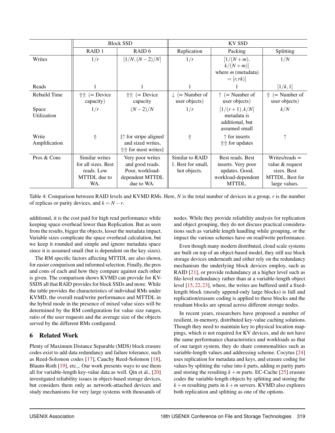<span id="page-11-0"></span>

|                        |                                                 | <b>Block SSD</b>                                                                   | KV SSD                                              |                                                                    |                                                 |  |  |  |
|------------------------|-------------------------------------------------|------------------------------------------------------------------------------------|-----------------------------------------------------|--------------------------------------------------------------------|-------------------------------------------------|--|--|--|
|                        | RAID <sub>1</sub>                               | RAID <sub>6</sub>                                                                  | Replication                                         | Packing                                                            | Splitting                                       |  |  |  |
| Writes                 | 1/r                                             | $[1/N, (N-2)/N]$                                                                   | 1/r                                                 | $[1/(N+m),$<br>$k/(N+m)$                                           | 1/N                                             |  |  |  |
|                        |                                                 |                                                                                    |                                                     | where $m$ (metadata)<br>$=[r, rk)]$                                |                                                 |  |  |  |
| Reads                  |                                                 | 1                                                                                  |                                                     |                                                                    | [1/k, 1]                                        |  |  |  |
| Rebuild Time           | $\Uparrow \Uparrow (\infty$ Device<br>capacity) | $({\sim}$ Device<br>⇑⇑<br>capacity                                                 | $\downarrow$ ( $\propto$ Number of<br>user objects) | $\uparrow$ ( $\propto$ Number of<br>user objects)                  | $\sim$ Number of<br>user objects)               |  |  |  |
| Space<br>Utilization   | 1/r                                             | $(N-2)/N$                                                                          | 1/r                                                 | $[1/(r+1),k/N]$<br>metadata is<br>additional, but<br>assumed small | k/N                                             |  |  |  |
| Write<br>Amplification | ⇑                                               | $[\uparrow$ for stripe aligned<br>and sized writes,<br>$\Uparrow$ for most writes] | ⇑                                                   | $\uparrow$ for inserts<br>↑↑ for updates                           |                                                 |  |  |  |
| Pros & Cons            | Similar writes<br>for all sizes. Best           | Very poor writes<br>and good reads.                                                | Similar to RAID<br>1. Best for small,               | Best reads. Best<br>inserts. Very poor                             | Writes/reads $\infty$<br>value & request        |  |  |  |
|                        | reads. Low<br>MTTDL due to<br>WA.               | Poor, workload-<br>dependent MTTDL<br>due to WA.                                   | hot objects.                                        | updates. Good,<br>workload-dependent<br>MTTDL.                     | sizes. Best<br>MTTDL. Best for<br>large values. |  |  |  |

Table 4: Comparison between RAID levels and KVMD RMs. Here, *N* is the total number of devices in a group, *r* is the number of replicas or parity devices, and  $k = N - r$ .

additional, it is the cost paid for high read performance while keeping space overhead lower than Replication. But as seen from the results, bigger the objects, lesser the metadata impact. Variable sizes complicate the space overhead calculation, but we keep it rounded and simple and ignore metadata space since it is assumed small (but is dependent on the key sizes).

The RM specific factors affecting MTTDL are also shown, for easier comparison and informed selection. Finally, the pros and cons of each and how they compare against each other is given. The comparison shows KVMD can provide for KV-SSDS all that RAID provides for block SSDs and more. While the table provides the characteristics of individual RMs under KVMD, the overall read/write performance and MTTDL in the hybrid mode in the presence of mixed value sizes will be determined by the RM configuration for value size ranges, ratio of the user requests and the average size of the objects served by the different RMs configured.

# 6 Related Work

Plenty of Maximum Distance Separable (MDS) block erasure codes exist to add data redundancy and failure tolerance, such as Reed-Solomon codes [\[17\]](#page-13-13), Cauchy Reed-Solomon [\[18\]](#page-13-14), Blaum-Roth [\[19\]](#page-13-15), etc.,. Our work presents ways to use them all for variable-length key-value data as well. Qin et al., [\[20\]](#page-13-16) investigated reliability issues in object-based storage devices, but considers them only as network-attached devices and study mechanisms for very large systems with thousands of

nodes. While they provide reliability analysis for replication and object grouping, they do not discuss practical considerations such as variable length handling while grouping, or the impact the various schemes have on read/write performance.

Even though many modern distributed, cloud scale systems are built on top of an object-based model, they still use block storage devices underneath and either rely on the redundancy mechanism the underlying block devices employ, such as RAID [\[21\]](#page-13-17), or provide redundancy at a higher level such as file-level redundancy rather than at a variable-length object level [\[15,](#page-13-11) [22,](#page-13-18) [23\]](#page-14-0), where, the writes are buffered until a fixedlength block (mostly append-only large blocks) is full and replication/erasure coding is applied to these blocks and the resultant blocks are spread across different storage nodes.

In recent years, researchers have proposed a number of resilient, in-memory, distributed key-value caching solutions. Though they need to maintain key to physical location mappings, which is not required for KV devices, and do not have the same performance characteristics and workloads as that of our target system, they do share commonalities such as variable-length values and addressing scheme. Cocytus [\[24\]](#page-14-1) uses replication for metadata and keys, and erasure coding for values by splitting the value into *k* parts, adding *m* parity parts and storing the resulting  $k + m$  parts. EC-Cache [\[25\]](#page-14-2) erasure codes the variable-length objects by splitting and storing the  $k+m$  resulting parts in  $k+m$  servers. KVMD also explores both replication and splitting as one of the options.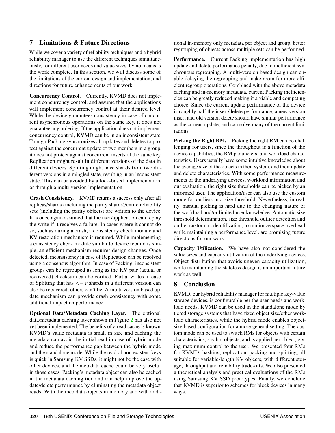# 7 Limitations & Future Directions

While we cover a variety of reliability techniques and a hybrid reliability manager to use the different techniques simultaneously, for different user needs and value sizes, by no means is the work complete. In this section, we will discuss some of the limitations of the current design and implementation, and directions for future enhancements of our work.

Concurrency Control. Currently, KVMD does not implement concurrency control, and assume that the applications will implement concurrency control at their desired level. While the device guarantees consistency in case of concurrent asynchronous operations on the same key, it does not guarantee any ordering. If the application does not implement concurrency control, KVMD can be in an inconsistent state. Though Packing synchronizes all updates and deletes to protect against the concurrent update of two members in a group, it does not protect against concurrent inserts of the same key. Replication might result in different versions of the data in different devices. Splitting might have shards from two different versions in a mingled state, resulting in an inconsistent state. This can be avoided by a lock-based implementation, or through a multi-version implementation.

Crash Consistency. KVMD returns a success only after all replicas/shards (including the parity shards)/entire reliability sets (including the parity objects) are written to the device. It is once again assumed that the user/application can replay the write if it receives a failure. In cases where it cannot do so, such as during a crash, a consistency check module and KV restoration mechanism is required. While implementing a consistency check module similar to device rebuild is simple, an efficient mechanism requires design changes. Once detected, inconsistency in case of Replication can be resolved using a consensus algorithm. In case of Packing, inconsistent groups can be regrouped as long as the KV pair (actual or recovered) checksum can be verified. Partial writes in case of Splitting that has  $\leq r$  shards in a different version can also be recovered, others can't be. A multi-version based update mechanism can provide crash consistency with some additional impact on performance.

Optional Data/Metadata Caching Layer. The optional data/metadata caching layer shown in Figure [2](#page-3-0) has also not yet been implemented. The benefits of a read cache is known. KVMD's value metadata is small in size and caching the metadata can avoid the initial read in case of hybrid mode and reduce the performance gap between the hybrid mode and the standalone mode. While the read of non-existent keys is quick in Samsung KV SSDs, it might not be the case with other devices, and the metadata cache could be very useful in those cases. Packing's metadata object can also be cached in the metadata caching tier, and can help improve the update/delete performance by eliminating the metadata object reads. With the metadata objects in memory and with additional in-memory only metadata per object and group, better regrouping of objects across multiple sets can be performed.

Performance. Current Packing implementation has high update and delete performance penalty, due to inefficient synchronous regrouping. A multi-version based design can enable delaying the regrouping and make room for more efficient regroup operations. Combined with the above metadata caching and in-memory metadata, current Packing inefficiencies can be greatly reduced making it a viable and competing choice. Since the current update performance of the device is roughly half the insert/delete performance, a new version insert and old version delete should have similar performance as the current update, and can solve many of the current limitations.

Picking the Right RM. Picking the right RM can be challenging for users, since the throughput is a function of the device capabilities, the RM parameters, and workload characteristics. Users usually have some intuitive knowledge about the average size of the objects in their system, and their update and delete characteristics. With some performance measurements of the underlying devices, workload information and our evaluation, the right size thresholds can be picked by an informed user. The application/user can also use the custom mode for outliers in a size threshold. Nevertheless, in reality, manual picking is hard due to the changing nature of the workload and/or limited user knowledge. Automatic size threshold determination, size threshold outlier detection and outlier custom mode utilization, to minimize space overhead while maintaining a performance level, are promising future directions for our work.

Capacity Utilization. We have also not considered the value sizes and capacity utilization of the underlying devices. Object distribution that avoids uneven capacity utilization, while maintaining the stateless design is an important future work as well.

# 8 Conclusion

KVMD, our hybrid reliability manager for multiple key-value storage devices, is configurable per the user needs and workload needs. KVMD can be used in the standalone mode by tiered storage systems that have fixed object size/other workload characteristics, while the hybrid mode enables objectsize based configuration for a more general setting. The custom mode can be used to switch RMs for objects with certain characteristics, say hot objects, and is applied per object, giving maximum control to the user. We presented four RMs for KVMD: hashing, replication, packing and splitting, all suitable for variable-length KV objects, with different storage, throughput and reliability trade-offs. We also presented a theoretical analysis and practical evaluations of the RMs using Samsung KV SSD prototypes. Finally, we conclude that KVMD is superior to schemes for block devices in many ways.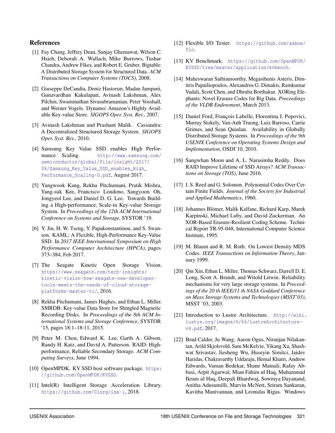### References

- <span id="page-13-0"></span>[1] Fay Chang, Jeffrey Dean, Sanjay Ghemawat, Wilson C. Hsieh, Deborah A. Wallach, Mike Burrows, Tushar Chandra, Andrew Fikes, and Robert E. Gruber. Bigtable: A Distributed Storage System for Structured Data. *ACM Transactions on Computer Systems (TOCS)*, 2008.
- [2] Giuseppe DeCandia, Deniz Hastorun, Madan Jampani, Gunavardhan Kakulapati, Avinash Lakshman, Alex Pilchin, Swaminathan Sivasubramanian, Peter Vosshall, and Werner Vogels. Dynamo: Amazon's Highly Available Key-value Store. *SIGOPS Oper. Syst. Rev.*, 2007.
- <span id="page-13-1"></span>[3] Avinash Lakshman and Prashant Malik. Cassandra: A Decentralized Structured Storage System. *SIGOPS Oper. Syst. Rev.*, 2010.
- <span id="page-13-2"></span>[4] Samsung Key Value SSD enables High Performance Scaling. [http://www.samsung.com/](http://www.samsung.com/semiconductor/global/file/insight/2017/08/Samsung_Key_Value_SSD_enables_High_Performance_Scaling-0.pdf ) [semiconductor/global/file/insight/2017/](http://www.samsung.com/semiconductor/global/file/insight/2017/08/Samsung_Key_Value_SSD_enables_High_Performance_Scaling-0.pdf ) [08/Samsung\\_Key\\_Value\\_SSD\\_enables\\_High\\_](http://www.samsung.com/semiconductor/global/file/insight/2017/08/Samsung_Key_Value_SSD_enables_High_Performance_Scaling-0.pdf ) Performance Scaling-0.pdf, August 2017.
- <span id="page-13-4"></span>[5] Yangwook Kang, Rekha Pitchumani, Pratik Mishra, Yang-suk Kee, Francisco Londono, Sangyoon Oh, Jongyeol Lee, and Daniel D. G. Lee. Towards Building a High-performance, Scale-in Key-value Storage System. In *Proceedings of the 12th ACM International Conference on Systems and Storage*, SYSTOR '19.
- [6] Y. Jin, H. W. Tseng, Y. Papakonstantinou, and S. Swanson. KAML: A Flexible, High-Performance Key-Value SSD. In *2017 IEEE International Symposium on High Performance Computer Architecture (HPCA)*, pages 373–384, Feb 2017.
- [7] The Seagate Kinetic Open Storage Vision. [https://www.seagate.com/tech-insights/](https://www.seagate.com/tech-insights/kinetic-vision-how-seagate-new-developer-tools-meets-the-needs-of-cloud-storage-platforms-master-ti/ ) [kinetic-vision-how-seagate-new-developer](https://www.seagate.com/tech-insights/kinetic-vision-how-seagate-new-developer-tools-meets-the-needs-of-cloud-storage-platforms-master-ti/ )[tools-meets-the-needs-of-cloud-storage](https://www.seagate.com/tech-insights/kinetic-vision-how-seagate-new-developer-tools-meets-the-needs-of-cloud-storage-platforms-master-ti/ )[platforms-master-ti/](https://www.seagate.com/tech-insights/kinetic-vision-how-seagate-new-developer-tools-meets-the-needs-of-cloud-storage-platforms-master-ti/ ), 2016.
- <span id="page-13-3"></span>[8] Rekha Pitchumani, James Hughes, and Ethan L. Miller. SMRDB: Key-value Data Store for Shingled Magnetic Recording Disks. In *Proceedings of the 8th ACM International Systems and Storage Conference*, SYSTOR '15, pages 18:1–18:11, 2015.
- <span id="page-13-5"></span>[9] Peter M. Chen, Edward K. Lee, Garth A. Gibson, Randy H. Katz, and David A. Patterson. RAID: Highperformance, Reliable Secondary Storage. *ACM Computing Surveys*, June 1994.
- <span id="page-13-6"></span>[10] OpenMPDK. KV SSD host software package. [https:](https://github.com/OpenMPDK/KVSSD) [//github.com/OpenMPDK/KVSSD](https://github.com/OpenMPDK/KVSSD).
- <span id="page-13-7"></span>[11] Intel(R) Intelligent Storage Acceleration Library. <https://github.com/01org/isa-l>, 2018.
- <span id="page-13-8"></span>[12] Flexible I/O Tester. [https://github.com/axboe/](https://github.com/axboe/fio) [fio](https://github.com/axboe/fio).
- <span id="page-13-9"></span>[13] KV Benchmark. [https://github.com/OpenMPDK/](https://github.com/OpenMPDK/KVSSD/tree/master/application/kvbench) [KVSSD/tree/master/application/kvbench](https://github.com/OpenMPDK/KVSSD/tree/master/application/kvbench).
- <span id="page-13-10"></span>[14] Maheswaran Sathiamoorthy, Megasthenis Asteris, Dimitris Papailiopoulos, Alexandros G. Dimakis, Ramkumar Vadali, Scott Chen, and Dhruba Borthakur. XORing Elephants: Novel Erasure Codes for Big Data. *Proceedings of the VLDB Endowment*, March 2013.
- <span id="page-13-11"></span>[15] Daniel Ford, François Labelle, Florentina I. Popovici, Murray Stokely, Van-Anh Truong, Luiz Barroso, Carrie Grimes, and Sean Quinlan. Availability in Globally Distributed Storage Systems. In *Proceedings of the 9th USENIX Conference on Operating Systems Design and Implementation*, OSDI'10, 2010.
- <span id="page-13-12"></span>[16] Sangwhan Moon and A. L. Narasimha Reddy. Does RAID Improve Lifetime of SSD Arrays? *ACM Transactions on Storage (TOS)*, June 2016.
- <span id="page-13-13"></span>[17] I. S. Reed and G. Solomon. Polynomial Codes Over Certain Finite Fields. *Journal of the Society for Industrial and Applied Mathematics*, 1960.
- <span id="page-13-14"></span>[18] Johannes Blömer, Malik Kalfane, Richard Karp, Marek Karpinski, Michael Luby, and David Zuckerman. An XOR-Based Erasure-Resilient Coding Scheme. Technical Report TR-95-048, International Computer Science Institute, 1995.
- <span id="page-13-15"></span>[19] M. Blaum and R. M. Roth. On Lowest Density MDS Codes. *IEEE Transactions on Information Theory*, January 1999.
- <span id="page-13-16"></span>[20] Qin Xin, Ethan L. Miller, Thomas Schwarz, Darrell D. E. Long, Scott A. Brandt, and Witold Litwin. Reliability mechanisms for very large storage systems. In *Proceedings of the 20 th IEEE/11 th NASA Goddard Conference on Mass Storage Systems and Technologies (MSST'03)*, MSST '03, 2003.
- <span id="page-13-17"></span>[21] Introduction to Lustre Architecture. [http://wiki.](http://wiki.lustre.org/images/6/64/LustreArchitecture-v4.pdf) [lustre.org/images/6/64/LustreArchitecture](http://wiki.lustre.org/images/6/64/LustreArchitecture-v4.pdf)[v4.pdf](http://wiki.lustre.org/images/6/64/LustreArchitecture-v4.pdf), 2017.
- <span id="page-13-18"></span>[22] Brad Calder, Ju Wang, Aaron Ogus, Niranjan Nilakantan, Arild Skjolsvold, Sam McKelvie, Yikang Xu, Shashwat Srivastav, Jiesheng Wu, Huseyin Simitci, Jaidev Haridas, Chakravarthy Uddaraju, Hemal Khatri, Andrew Edwards, Vaman Bedekar, Shane Mainali, Rafay Abbasi, Arpit Agarwal, Mian Fahim ul Haq, Muhammad Ikram ul Haq, Deepali Bhardwaj, Sowmya Dayanand, Anitha Adusumilli, Marvin McNett, Sriram Sankaran, Kavitha Manivannan, and Leonidas Rigas. Windows